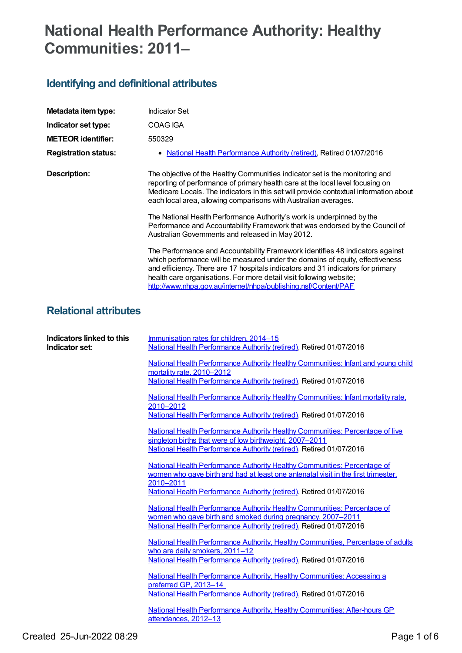# **National Health Performance Authority: Healthy Communities: 2011–**

## **Identifying and definitional attributes**

| Indicator Set                                                                                                                                                                                                                                                                                                                                                                               |
|---------------------------------------------------------------------------------------------------------------------------------------------------------------------------------------------------------------------------------------------------------------------------------------------------------------------------------------------------------------------------------------------|
| COAG IGA                                                                                                                                                                                                                                                                                                                                                                                    |
| 550329                                                                                                                                                                                                                                                                                                                                                                                      |
| <b>National Health Performance Authority (retired), Retired 01/07/2016</b>                                                                                                                                                                                                                                                                                                                  |
| The objective of the Healthy Communities indicator set is the monitoring and<br>reporting of performance of primary health care at the local level focusing on<br>Medicare Locals. The indicators in this set will provide contextual information about<br>each local area, allowing comparisons with Australian averages.                                                                  |
| The National Health Performance Authority's work is underpinned by the<br>Performance and Accountability Framework that was endorsed by the Council of<br>Australian Governments and released in May 2012.                                                                                                                                                                                  |
| The Performance and Accountability Framework identifies 48 indicators against<br>which performance will be measured under the domains of equity, effectiveness<br>and efficiency. There are 17 hospitals indicators and 31 indicators for primary<br>health care organisations. For more detail visit following website;<br>http://www.nhpa.gov.au/internet/nhpa/publishing.nsf/Content/PAF |
|                                                                                                                                                                                                                                                                                                                                                                                             |

## **Relational attributes**

| Indicators linked to this<br>Indicator set: | Immunisation rates for children, 2014–15<br>National Health Performance Authority (retired), Retired 01/07/2016                                                                                                  |
|---------------------------------------------|------------------------------------------------------------------------------------------------------------------------------------------------------------------------------------------------------------------|
|                                             | National Health Performance Authority Healthy Communities: Infant and young child<br>mortality rate, 2010-2012<br>National Health Performance Authority (retired), Retired 01/07/2016                            |
|                                             | National Health Performance Authority Healthy Communities: Infant mortality rate,<br>2010-2012<br>National Health Performance Authority (retired), Retired 01/07/2016                                            |
|                                             | National Health Performance Authority Healthy Communities: Percentage of live<br>singleton births that were of low birthweight, 2007-2011<br>National Health Performance Authority (retired), Retired 01/07/2016 |
|                                             | National Health Performance Authority Healthy Communities: Percentage of<br>women who gave birth and had at least one antenatal visit in the first trimester,<br>2010-2011                                       |
|                                             | National Health Performance Authority (retired), Retired 01/07/2016<br>National Health Performance Authority Healthy Communities: Percentage of<br>women who gave birth and smoked during pregnancy, 2007-2011   |
|                                             | National Health Performance Authority (retired), Retired 01/07/2016<br>National Health Performance Authority, Healthy Communities, Percentage of adults<br>who are daily smokers, 2011-12                        |
|                                             | National Health Performance Authority (retired), Retired 01/07/2016<br>National Health Performance Authority, Healthy Communities: Accessing a<br>preferred GP, 2013-14                                          |
|                                             | National Health Performance Authority (retired), Retired 01/07/2016<br>National Health Performance Authority, Healthy Communities: After-hours GP<br>attendances, 2012-13                                        |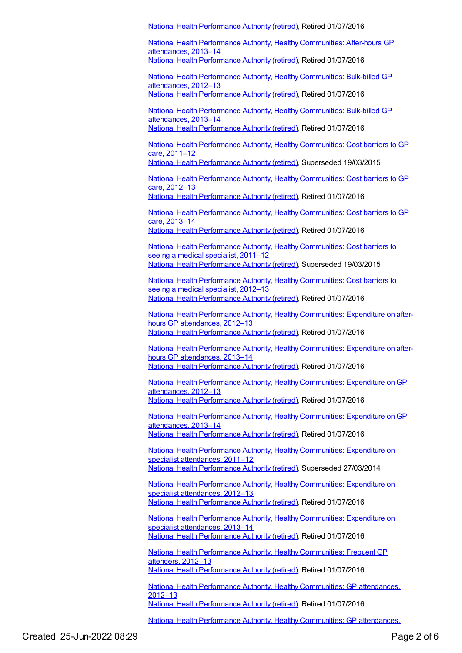National Health [Performance](https://meteor.aihw.gov.au/RegistrationAuthority/8) Authority (retired), Retired 01/07/2016

National Health Performance Authority, Healthy [Communities:](https://meteor.aihw.gov.au/content/620169) After-hours GP attendances, 2013–14 National Health [Performance](https://meteor.aihw.gov.au/RegistrationAuthority/8) Authority (retired), Retired 01/07/2016

National Health Performance Authority, Healthy [Communities:](https://meteor.aihw.gov.au/content/528911) Bulk-billed GP attendances, 2012–13 National Health [Performance](https://meteor.aihw.gov.au/RegistrationAuthority/8) Authority (retired), Retired 01/07/2016

National Health Performance Authority, Healthy [Communities:](https://meteor.aihw.gov.au/content/620171) Bulk-billed GP attendances, 2013–14 National Health [Performance](https://meteor.aihw.gov.au/RegistrationAuthority/8) Authority (retired), Retired 01/07/2016

National Health Performance Authority, Healthy [Communities:](https://meteor.aihw.gov.au/content/548008) Cost barriers to GP care, 2011–12

National Health [Performance](https://meteor.aihw.gov.au/RegistrationAuthority/8) Authority (retired), Superseded 19/03/2015

National Health Performance Authority, Healthy [Communities:](https://meteor.aihw.gov.au/content/601737) Cost barriers to GP care, 2012–13

National Health [Performance](https://meteor.aihw.gov.au/RegistrationAuthority/8) Authority (retired), Retired 01/07/2016

National Health Performance Authority, Healthy [Communities:](https://meteor.aihw.gov.au/content/611270) Cost barriers to GP care, 2013–14 National Health [Performance](https://meteor.aihw.gov.au/RegistrationAuthority/8) Authority (retired), Retired 01/07/2016

National Health Performance Authority, Healthy [Communities:](https://meteor.aihw.gov.au/content/548011) Cost barriers to seeing a medical specialist, 2011-12 National Health [Performance](https://meteor.aihw.gov.au/RegistrationAuthority/8) Authority (retired), Superseded 19/03/2015

National Health Performance Authority, Healthy [Communities:](https://meteor.aihw.gov.au/content/601815) Cost barriers to seeing a medical specialist, 2012–13 National Health [Performance](https://meteor.aihw.gov.au/RegistrationAuthority/8) Authority (retired), Retired 01/07/2016

National Health Performance Authority, Healthy [Communities:](https://meteor.aihw.gov.au/content/547196) Expenditure on afterhours GP attendances, 2012–13 National Health [Performance](https://meteor.aihw.gov.au/RegistrationAuthority/8) Authority (retired), Retired 01/07/2016

National Health Performance Authority, Healthy [Communities:](https://meteor.aihw.gov.au/content/620178) Expenditure on afterhours GP attendances, 2013–14 National Health [Performance](https://meteor.aihw.gov.au/RegistrationAuthority/8) Authority (retired), Retired 01/07/2016

National Health Performance Authority, Healthy [Communities:](https://meteor.aihw.gov.au/content/547154) Expenditure onGP attendances, 2012–13 National Health [Performance](https://meteor.aihw.gov.au/RegistrationAuthority/8) Authority (retired), Retired 01/07/2016

National Health Performance Authority, Healthy [Communities:](https://meteor.aihw.gov.au/content/620159) Expenditure onGP attendances, 2013–14 National Health [Performance](https://meteor.aihw.gov.au/RegistrationAuthority/8) Authority (retired), Retired 01/07/2016

National Health Performance Authority, Healthy [Communities:](https://meteor.aihw.gov.au/content/547090) Expenditure on specialist attendances, 2011–12 National Health [Performance](https://meteor.aihw.gov.au/RegistrationAuthority/8) Authority (retired), Superseded 27/03/2014

National Health Performance Authority, Healthy [Communities:](https://meteor.aihw.gov.au/content/547958) Expenditure on specialist attendances, 2012–13 National Health [Performance](https://meteor.aihw.gov.au/RegistrationAuthority/8) Authority (retired), Retired 01/07/2016

National Health Performance Authority, Healthy [Communities:](https://meteor.aihw.gov.au/content/620166) Expenditure on specialist attendances, 2013–14 National Health [Performance](https://meteor.aihw.gov.au/RegistrationAuthority/8) Authority (retired), Retired 01/07/2016

National Health Performance Authority, Healthy [Communities:](https://meteor.aihw.gov.au/content/601534) Frequent GP attenders, 2012–13 National Health [Performance](https://meteor.aihw.gov.au/RegistrationAuthority/8) Authority (retired), Retired 01/07/2016

National Health Performance Authority, Healthy [Communities:](https://meteor.aihw.gov.au/content/547145) GP attendances, 2012–13 National Health [Performance](https://meteor.aihw.gov.au/RegistrationAuthority/8) Authority (retired), Retired 01/07/2016

National Health Performance Authority, Healthy [Communities:](https://meteor.aihw.gov.au/content/620141) GP attendances,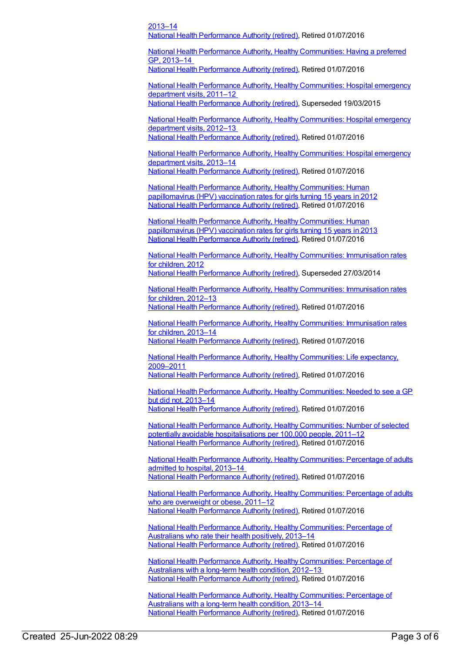#### 2013–14 National Health [Performance](https://meteor.aihw.gov.au/RegistrationAuthority/8) Authority (retired), Retired 01/07/2016

National Health Performance Authority, Healthy [Communities:](https://meteor.aihw.gov.au/content/611084) Having a preferred GP, 2013–14

National Health [Performance](https://meteor.aihw.gov.au/RegistrationAuthority/8) Authority (retired), Retired 01/07/2016

National Health Performance Authority, Healthy [Communities:](https://meteor.aihw.gov.au/content/548002) Hospital emergency department visits, 2011–12 National Health [Performance](https://meteor.aihw.gov.au/RegistrationAuthority/8) Authority (retired), Superseded 19/03/2015

National Health Performance Authority, Healthy [Communities:](https://meteor.aihw.gov.au/content/601895) Hospital emergency department visits, 2012–13 National Health [Performance](https://meteor.aihw.gov.au/RegistrationAuthority/8) Authority (retired), Retired 01/07/2016

National Health Performance Authority, Healthy [Communities:](https://meteor.aihw.gov.au/content/611080) Hospital emergency department visits, 2013–14 National Health [Performance](https://meteor.aihw.gov.au/RegistrationAuthority/8) Authority (retired), Retired 01/07/2016

National Health Performance Authority, Healthy [Communities:](https://meteor.aihw.gov.au/content/564385) Human papillomavirus (HPV) vaccination rates for girls turning 15 years in 2012 National Health [Performance](https://meteor.aihw.gov.au/RegistrationAuthority/8) Authority (retired), Retired 01/07/2016

National Health Performance Authority, Healthy [Communities:](https://meteor.aihw.gov.au/content/611806) Human papillomavirus (HPV) vaccination rates for girls turning 15 years in 2013 National Health [Performance](https://meteor.aihw.gov.au/RegistrationAuthority/8) Authority (retired), Retired 01/07/2016

National Health Performance Authority, Healthy [Communities:](https://meteor.aihw.gov.au/content/515538) Immunisation rates for children, 2012 National Health [Performance](https://meteor.aihw.gov.au/RegistrationAuthority/8) Authority (retired), Superseded 27/03/2014

National Health Performance Authority, Healthy [Communities:](https://meteor.aihw.gov.au/content/564342) Immunisation rates for children, 2012–13

National Health [Performance](https://meteor.aihw.gov.au/RegistrationAuthority/8) Authority (retired), Retired 01/07/2016

National Health Performance Authority, Healthy [Communities:](https://meteor.aihw.gov.au/content/611799) Immunisation rates for children, 2013–14 National Health [Performance](https://meteor.aihw.gov.au/RegistrationAuthority/8) Authority (retired), Retired 01/07/2016

National Health Performance Authority, Healthy [Communities:](https://meteor.aihw.gov.au/content/527641) Life expectancy, 2009–2011

National Health [Performance](https://meteor.aihw.gov.au/RegistrationAuthority/8) Authority (retired), Retired 01/07/2016

National Health Performance Authority, Healthy [Communities:](https://meteor.aihw.gov.au/content/611126) Needed to see a GP but did not, 2013–14 National Health [Performance](https://meteor.aihw.gov.au/RegistrationAuthority/8) Authority (retired), Retired 01/07/2016

National Health Performance Authority, Healthy [Communities:](https://meteor.aihw.gov.au/content/549587) Number of selected potentially avoidable hospitalisations per 100,000 people, 2011–12 National Health [Performance](https://meteor.aihw.gov.au/RegistrationAuthority/8) Authority (retired), Retired 01/07/2016

National Health Performance Authority, Healthy [Communities:](https://meteor.aihw.gov.au/content/611078) Percentage of adults admitted to hospital, 2013–14 National Health [Performance](https://meteor.aihw.gov.au/RegistrationAuthority/8) Authority (retired), Retired 01/07/2016

National Health Performance Authority, Healthy [Communities:](https://meteor.aihw.gov.au/content/527650) Percentage of adults who are overweight or obese, 2011-12 National Health [Performance](https://meteor.aihw.gov.au/RegistrationAuthority/8) Authority (retired), Retired 01/07/2016

National Health Performance Authority, Healthy [Communities:](https://meteor.aihw.gov.au/content/611056) Percentage of Australians who rate their health positively, 2013–14 National Health [Performance](https://meteor.aihw.gov.au/RegistrationAuthority/8) Authority (retired), Retired 01/07/2016

National Health Performance Authority, Healthy [Communities:](https://meteor.aihw.gov.au/content/594173) Percentage of Australians with a long-term health condition, 2012–13 National Health [Performance](https://meteor.aihw.gov.au/RegistrationAuthority/8) Authority (retired), Retired 01/07/2016

National Health Performance Authority, Healthy [Communities:](https://meteor.aihw.gov.au/content/611058) Percentage of Australians with a long-term health condition, 2013–14 National Health [Performance](https://meteor.aihw.gov.au/RegistrationAuthority/8) Authority (retired), Retired 01/07/2016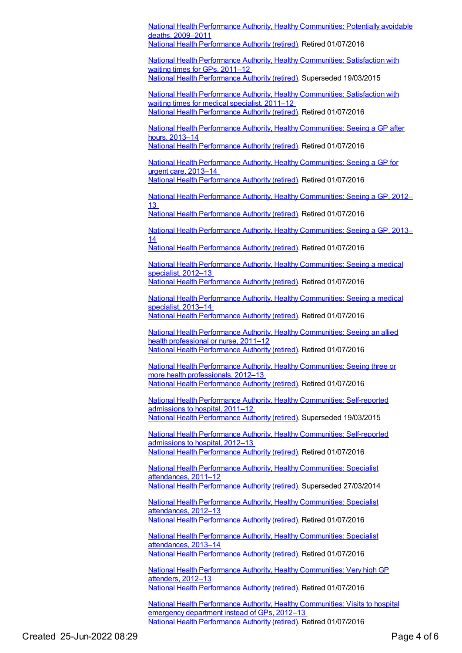National Health Performance Authority, Healthy [Communities:](https://meteor.aihw.gov.au/content/527720) Potentially avoidable deaths, 2009–2011 National Health [Performance](https://meteor.aihw.gov.au/RegistrationAuthority/8) Authority (retired), Retired 01/07/2016 National Health Performance Authority, Healthy [Communities:](https://meteor.aihw.gov.au/content/529386) Satisfaction with waiting times for GPs, 2011–12 National Health [Performance](https://meteor.aihw.gov.au/RegistrationAuthority/8) Authority (retired), Superseded 19/03/2015 National Health Performance Authority, Healthy [Communities:](https://meteor.aihw.gov.au/content/547997) Satisfaction with waiting times for medical specialist, 2011–12 National Health [Performance](https://meteor.aihw.gov.au/RegistrationAuthority/8) Authority (retired), Retired 01/07/2016 National Health Performance Authority, Healthy [Communities:](https://meteor.aihw.gov.au/content/611260) Seeing a GP after hours, 2013–14 National Health [Performance](https://meteor.aihw.gov.au/RegistrationAuthority/8) Authority (retired), Retired 01/07/2016

National Health Performance Authority, Healthy [Communities:](https://meteor.aihw.gov.au/content/611067) Seeing a GP for urgent care, 2013–14

National Health [Performance](https://meteor.aihw.gov.au/RegistrationAuthority/8) Authority (retired), Retired 01/07/2016

National Health Performance Authority, Healthy [Communities:](https://meteor.aihw.gov.au/content/594116) Seeing a GP, 2012– 13

National Health [Performance](https://meteor.aihw.gov.au/RegistrationAuthority/8) Authority (retired), Retired 01/07/2016

National Health Performance Authority, Healthy [Communities:](https://meteor.aihw.gov.au/content/611063) Seeing a GP, 2013– 14

National Health [Performance](https://meteor.aihw.gov.au/RegistrationAuthority/8) Authority (retired), Retired 01/07/2016

National Health Performance Authority, Healthy [Communities:](https://meteor.aihw.gov.au/content/594772) Seeing a medical specialist, 2012–13 National Health [Performance](https://meteor.aihw.gov.au/RegistrationAuthority/8) Authority (retired), Retired 01/07/2016

National Health Performance Authority, Healthy [Communities:](https://meteor.aihw.gov.au/content/611072) Seeing a medical specialist, 2013–14 National Health [Performance](https://meteor.aihw.gov.au/RegistrationAuthority/8) Authority (retired), Retired 01/07/2016

National Health Performance Authority, Healthy [Communities:](https://meteor.aihw.gov.au/content/546854) Seeing an allied health professional or nurse, 2011–12 National Health [Performance](https://meteor.aihw.gov.au/RegistrationAuthority/8) Authority (retired), Retired 01/07/2016

National Health Performance Authority, Healthy [Communities:](https://meteor.aihw.gov.au/content/601739) Seeing three or more health professionals, 2012–13 National Health [Performance](https://meteor.aihw.gov.au/RegistrationAuthority/8) Authority (retired), Retired 01/07/2016

National Health Performance Authority, Healthy [Communities:](https://meteor.aihw.gov.au/content/548005) Self-reported admissions to hospital, 2011–12 National Health [Performance](https://meteor.aihw.gov.au/RegistrationAuthority/8) Authority (retired), Superseded 19/03/2015

National Health Performance Authority, Healthy [Communities:](https://meteor.aihw.gov.au/content/601829) Self-reported admissions to hospital, 2012–13 National Health [Performance](https://meteor.aihw.gov.au/RegistrationAuthority/8) Authority (retired), Retired 01/07/2016

National Health Performance Authority, Healthy [Communities:](https://meteor.aihw.gov.au/content/547062) Specialist attendances, 2011–12 National Health [Performance](https://meteor.aihw.gov.au/RegistrationAuthority/8) Authority (retired), Superseded 27/03/2014

National Health Performance Authority, Healthy [Communities:](https://meteor.aihw.gov.au/content/547952) Specialist attendances, 2012–13 National Health [Performance](https://meteor.aihw.gov.au/RegistrationAuthority/8) Authority (retired), Retired 01/07/2016

National Health Performance Authority, Healthy [Communities:](https://meteor.aihw.gov.au/content/620146) Specialist attendances, 2013–14 National Health [Performance](https://meteor.aihw.gov.au/RegistrationAuthority/8) Authority (retired), Retired 01/07/2016

National Health Performance Authority, Healthy [Communities:](https://meteor.aihw.gov.au/content/601536) Very highGP attenders, 2012–13 National Health [Performance](https://meteor.aihw.gov.au/RegistrationAuthority/8) Authority (retired), Retired 01/07/2016

National Health Performance Authority, Healthy [Communities:](https://meteor.aihw.gov.au/content/594106) Visits to hospital emergency department instead of GPs, 2012–13 National Health [Performance](https://meteor.aihw.gov.au/RegistrationAuthority/8) Authority (retired), Retired 01/07/2016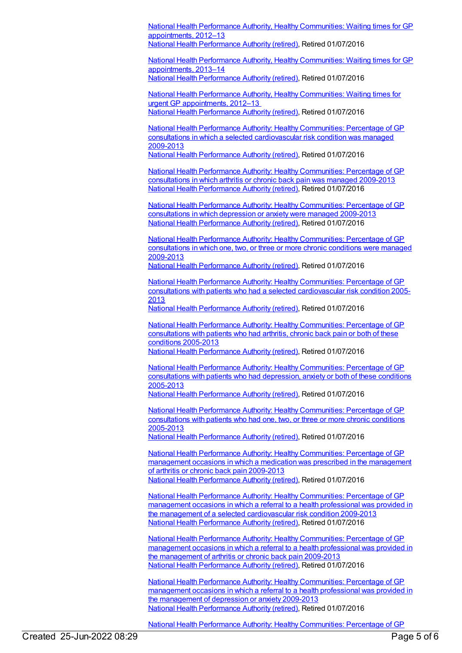National Health Performance Authority, Healthy [Communities:](https://meteor.aihw.gov.au/content/601882) Waiting times for GP appointments, 2012–13 National Health [Performance](https://meteor.aihw.gov.au/RegistrationAuthority/8) Authority (retired), Retired 01/07/2016

National Health Performance Authority, Healthy [Communities:](https://meteor.aihw.gov.au/content/611264) Waiting times for GP appointments, 2013–14 National Health [Performance](https://meteor.aihw.gov.au/RegistrationAuthority/8) Authority (retired), Retired 01/07/2016

National Health Performance Authority, Healthy [Communities:](https://meteor.aihw.gov.au/content/594794) Waiting times for urgent GP appointments, 2012–13 National Health [Performance](https://meteor.aihw.gov.au/RegistrationAuthority/8) Authority (retired), Retired 01/07/2016

National Health Performance Authority: Healthy Communities: Percentage of GP consultations in which a selected [cardiovascular](https://meteor.aihw.gov.au/content/593785) risk condition was managed 2009-2013

National Health [Performance](https://meteor.aihw.gov.au/RegistrationAuthority/8) Authority (retired), Retired 01/07/2016

National Health Performance Authority: Healthy [Communities:](https://meteor.aihw.gov.au/content/593796) Percentage of GP consultations in which arthritis or chronic back pain was managed 2009-2013 National Health [Performance](https://meteor.aihw.gov.au/RegistrationAuthority/8) Authority (retired), Retired 01/07/2016

National Health Performance Authority: Healthy [Communities:](https://meteor.aihw.gov.au/content/593770) Percentage of GP consultations in which depression or anxiety were managed 2009-2013 National Health [Performance](https://meteor.aihw.gov.au/RegistrationAuthority/8) Authority (retired), Retired 01/07/2016

National Health Performance Authority: Healthy [Communities:](https://meteor.aihw.gov.au/content/586345) Percentage of GP consultations in which one, two, or three or more chronic conditions were managed 2009-2013

National Health [Performance](https://meteor.aihw.gov.au/RegistrationAuthority/8) Authority (retired), Retired 01/07/2016

National Health Performance Authority: Healthy Communities: Percentage of GP consultations with patients who had a selected [cardiovascular](https://meteor.aihw.gov.au/content/593783) risk condition 2005- 2013

National Health [Performance](https://meteor.aihw.gov.au/RegistrationAuthority/8) Authority (retired), Retired 01/07/2016

National Health Performance Authority: Healthy [Communities:](https://meteor.aihw.gov.au/content/593793) Percentage of GP consultations with patients who had arthritis, chronic back pain or both of these conditions 2005-2013 National Health [Performance](https://meteor.aihw.gov.au/RegistrationAuthority/8) Authority (retired), Retired 01/07/2016

National Health Performance Authority: Healthy [Communities:](https://meteor.aihw.gov.au/content/588162) Percentage of GP consultations with patients who had depression, anxiety or both of these conditions 2005-2013

National Health [Performance](https://meteor.aihw.gov.au/RegistrationAuthority/8) Authority (retired), Retired 01/07/2016

National Health Performance Authority: Healthy [Communities:](https://meteor.aihw.gov.au/content/586342) Percentage of GP consultations with patients who had one, two, or three or more chronic conditions 2005-2013

National Health [Performance](https://meteor.aihw.gov.au/RegistrationAuthority/8) Authority (retired), Retired 01/07/2016

National Health Performance Authority: Healthy [Communities:](https://meteor.aihw.gov.au/content/593798) Percentage of GP management occasions in which a medication was prescribed in the management of arthritis or chronic back pain 2009-2013 National Health [Performance](https://meteor.aihw.gov.au/RegistrationAuthority/8) Authority (retired), Retired 01/07/2016

National Health Performance Authority: Healthy [Communities:](https://meteor.aihw.gov.au/content/593787) Percentage of GP management occasions in which a referral to a health professional was provided in the management of a selected cardiovascular risk condition 2009-2013 National Health [Performance](https://meteor.aihw.gov.au/RegistrationAuthority/8) Authority (retired), Retired 01/07/2016

National Health Performance Authority: Healthy [Communities:](https://meteor.aihw.gov.au/content/595024) Percentage of GP management occasions in which a referral to a health professional was provided in the management of arthritis or chronic back pain 2009-2013 National Health [Performance](https://meteor.aihw.gov.au/RegistrationAuthority/8) Authority (retired), Retired 01/07/2016

National Health Performance Authority: Healthy [Communities:](https://meteor.aihw.gov.au/content/594756) Percentage of GP management occasions in which a referral to a health professional was provided in the management of depression or anxiety 2009-2013 National Health [Performance](https://meteor.aihw.gov.au/RegistrationAuthority/8) Authority (retired), Retired 01/07/2016

National Health Performance Authority: Healthy Communities: Percentage of GP